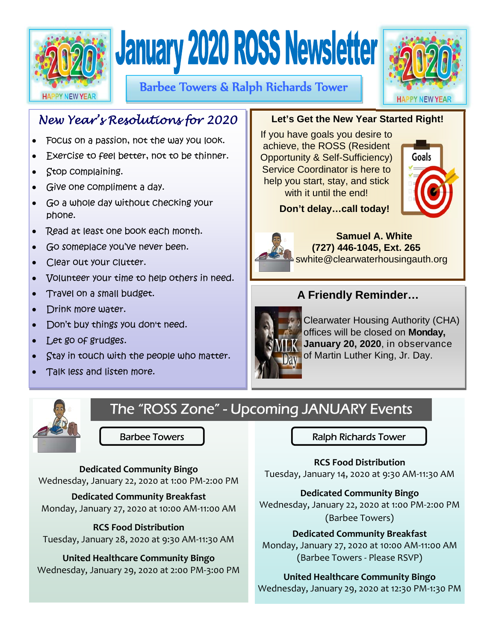



Barbee Towers & Ralph Richards Tower



# *New Year's Resolutions for 2020*

- Focus on a passion, not the way you look.
- Exercise to feel better, not to be thinner.
- Stop complaining.
- Give one compliment a day.
- Go a whole day without checking your phone.
- Read at least one book each month.
- Go someplace you've never been.
- Clear out your clutter.
- Volunteer your time to help others in need.
- Travel on a small budget.
- Drink more water.
- Don't buy things you don't need.
- Let go of grudges.
- Stay in touch with the people who matter.
- Talk less and listen more.



 **Don't delay…call today!** 

If you have goals you desire to achieve, the ROSS (Resident Opportunity & Self-Sufficiency) Service Coordinator is here to help you start, stay, and stick with it until the end!



 **Samuel A. White (727) 446-1045, Ext. 265**  swhite@clearwaterhousingauth.org

## **A Friendly Reminder…**

**Let's Get the New Year Started Right!** 



Clearwater Housing Authority (CHA) offices will be closed on **Monday, January 20, 2020**, in observance of Martin Luther King, Jr. Day.



The "ROSS Zone" - Upcoming JANUARY Events

**Dedicated Community Bingo**  Wednesday, January 22, 2020 at 1:00 PM‐2:00 PM

**Dedicated Community Breakfast**  Monday, January 27, 2020 at 10:00 AM‐11:00 AM

## **RCS Food Distribution**

Tuesday, January 28, 2020 at 9:30 AM‐11:30 AM

**United Healthcare Community Bingo**  Wednesday, January 29, 2020 at 2:00 PM‐3:00 PM

Barbee Towers Ralph Richards Tower

**RCS Food Distribution**  Tuesday, January 14, 2020 at 9:30 AM‐11:30 AM

**Dedicated Community Bingo** 

Wednesday, January 22, 2020 at 1:00 PM‐2:00 PM (Barbee Towers)

## **Dedicated Community Breakfast**

Monday, January 27, 2020 at 10:00 AM‐11:00 AM (Barbee Towers ‐ Please RSVP)

## **United Healthcare Community Bingo**

Wednesday, January 29, 2020 at 12:30 PM‐1:30 PM